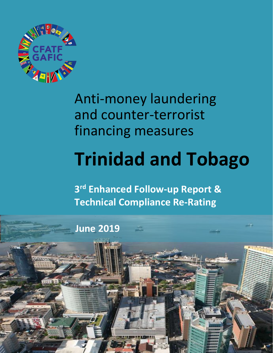

Anti-money laundering and counter-terrorist financing measures

# **Trinidad and Tobago**

**3 rd Enhanced Follow-up Report & Technical Compliance Re-Rating**

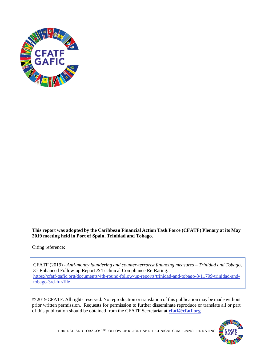

**This report was adopted by the Caribbean Financial Action Task Force (CFATF) Plenary at its May 2019 meeting held in Port of Spain, Trinidad and Tobago.**

Citing reference:

CFATF (2019) - *Anti-money laundering and counter-terrorist financing measures – Trinidad and Tobago*, 3<sup>rd</sup> Enhanced Follow-up Report & Technical Compliance Re-Rating. [https://cfatf-gafic.org/documents/4th-round-follow-up-reports/trinidad-and-tobago-3/11799-trinidad-and](https://cfatf-gafic.org/documents/4th-round-follow-up-reports/trinidad-and-tobago-3/11799-trinidad-and-tobago-3rd-fur/file)[tobago-3rd-fur/file](https://cfatf-gafic.org/documents/4th-round-follow-up-reports/trinidad-and-tobago-3/11799-trinidad-and-tobago-3rd-fur/file) 

© 2019 CFATF. All rights reserved. No reproduction or translation of this publication may be made without prior written permission. Requests for permission to further disseminate reproduce or translate all or part of this publication should be obtained from the CFATF Secretariat at **[cfatf@cfatf.org](mailto:cfatf@cfatf.org)**

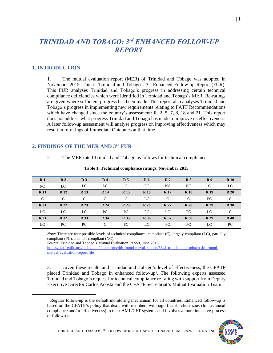# *TRINIDAD AND TOBAGO: 3 rd ENHANCED FOLLOW-UP REPORT*

#### **1. INTRODUCTION**

 $\overline{a}$ 

1. The mutual evaluation report (MER) of Trinidad and Tobago was adopted in November 2015. This is Trinidad and Tobago's 3<sup>rd</sup> Enhanced Follow-up Report (FUR). This FUR analyses Trinidad and Tobago's progress in addressing certain technical compliance deficiencies which were identified in Trinidad and Tobago's MER. Re-ratings are given where sufficient progress has been made. This report also analyses Trinidad and Tobago's progress in implementing new requirements relating to FATF Recommendations which have changed since the country's assessment: R. 2, 5, 7, 8, 18 and 21. This report does not address what progress Trinidad and Tobago has made to improve its effectiveness. A later follow-up assessment will analyse progress on improving effectiveness which may result in re-ratings of Immediate Outcomes at that time.

#### **2. FINDINGS OF THE MER AND 3 rd FUR**

2. The MER rated Trinidad and Tobago as follows for technical compliance:

| $\mathbf{R}1$   | $\mathbb{R}^2$  | $\mathbb{R}^3$ | $\mathbb{R}$ 4 | R <sub>5</sub> | R <sub>6</sub> | R <sub>7</sub> | R8          | R <sub>9</sub> | $\mathbf{R}$ 10 |
|-----------------|-----------------|----------------|----------------|----------------|----------------|----------------|-------------|----------------|-----------------|
| PC              | LC              | LC             | LC             | C              | PC             | NC.            | NC.         | C              | LC              |
| <b>R</b> 11     | R <sub>12</sub> | <b>R</b> 13    | <b>R</b> 14    | <b>R</b> 15    | <b>R</b> 16    | <b>R</b> 17    | <b>R</b> 18 | <b>R</b> 19    | R <sub>20</sub> |
| C               | C               | C              | C              | C              | LC             | C              | C           | PC.            | C               |
| R <sub>21</sub> | R 22            | R 23           | R 24           | R 25           | R 26           | R 27           | <b>R</b> 28 | R 29           | $R_{30}$        |
| LC              | LC              | LC             | PC             | PC             | PC             | LC             | PC          | LC             | $\mathcal{C}$   |
| <b>R</b> 31     | <b>R</b> 32     | <b>R</b> 33    | <b>R</b> 34    | <b>R</b> 35    | <b>R</b> 36    | <b>R</b> 37    | <b>R</b> 38 | <b>R</b> 39    | <b>R</b> 40     |
| LC              | PC.             | PC.            | C              | PC             | LC             | PС             | PC          | LC             | PC              |

#### **Table 1. Technical compliance ratings, November 2015**

*Note:* There are four possible levels of technical compliance: compliant (C), largely compliant (LC), partially compliant (PC), and non-compliant (NC).

*Source*: Trinidad and Tobago's Mutual Evaluation Report, June 2016,

[https://cfatf-gafic.org/index.php/documents/4th-round-meval-reports/6841-trinidad-and-tobago-4th-round](https://cfatf-gafic.org/index.php/documents/4th-round-meval-reports/6841-trinidad-and-tobago-4th-round-mutual-evaluation-report/file)[mutual-evaluation-report/file](https://cfatf-gafic.org/index.php/documents/4th-round-meval-reports/6841-trinidad-and-tobago-4th-round-mutual-evaluation-report/file)

3. Given these results and Trinidad and Tobago's level of effectiveness, the CFATF placed Trinidad and Tobago in enhanced follow-up<sup>1</sup>. The following experts assessed Trinidad and Tobago's request for technical compliance re-rating with support from Deputy Executive Director Carlos Acosta and the CFATF Secretariat's Mutual Evaluation Team:

<sup>&</sup>lt;sup>1</sup> Regular follow-up is the default monitoring mechanism for all countries. Enhanced follow-up is based on the CFATF's policy that deals with members with significant deficiencies (for technical compliance and/or effectiveness) in their AML/CFT systems and involves a more intensive process of follow-up.

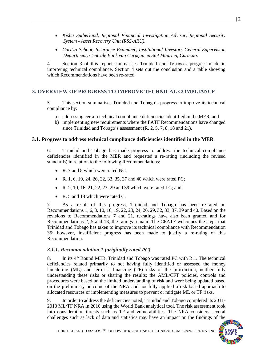- *Kisha Sutherland, Regional Financial Investigation Adviser, Regional Security System - Asset Recovery Unit (RSS-ARU).*
- *Caritza Schoot, Insurance Examiner, Institutional Investors General Supervision Department, Centrale Bank van Curaçao en Sint Maarten, Curaçao.*

4. Section 3 of this report summarises Trinidad and Tobago's progress made in improving technical compliance. Section 4 sets out the conclusion and a table showing which Recommendations have been re-rated.

## **3. OVERVIEW OF PROGRESS TO IMPROVE TECHNICAL COMPLIANCE**

5. This section summarises Trinidad and Tobago's progress to improve its technical compliance by:

- a) addressing certain technical compliance deficiencies identified in the MER, and
- b) implementing new requirements where the FATF Recommendations have changed since Trinidad and Tobago's assessment (R. 2, 5, 7, 8, 18 and 21).

## **3.1. Progress to address technical compliance deficiencies identified in the MER**

6. Trinidad and Tobago has made progress to address the technical compliance deficiencies identified in the MER and requested a re-rating (including the revised standards) in relation to the following Recommendations:

- R. 7 and 8 which were rated NC;
- R. 1, 6, 19, 24, 26, 32, 33, 35, 37 and 40 which were rated PC;
- R. 2, 10, 16, 21, 22, 23, 29 and 39 which were rated LC; and
- R. 5 and 18 which were rated C.

7. As a result of this progress, Trinidad and Tobago has been re-rated on Recommendations 1, 6, 8, 10, 16, 19, 22, 23, 24, 26, 29, 32, 33, 37, 39 and 40. Based on the revisions to Recommendations 7 and 21, re-ratings have also been granted and for Recommendations 2, 5 and 18, the ratings remain. The CFATF welcomes the steps that Trinidad and Tobago has taken to improve its technical compliance with Recommendation 35; however, insufficient progress has been made to justify a re-rating of this Recommendation.

## *3.1.1. Recommendation 1 (originally rated PC)*

8. In its 4<sup>th</sup> Round MER, Trinidad and Tobago was rated PC with R.1. The technical deficiencies related primarily to not having fully identified or assessed the money laundering (ML) and terrorist financing (TF) risks of the jurisdiction, neither fully understanding these risks or sharing the results; the AML/CFT policies, controls and procedures were based on the limited understanding of risk and were being updated based on the preliminary outcome of the NRA and not fully applied a risk-based approach to allocated resources or implementing measures to prevent or mitigate ML or TF risks.

9. In order to address the deficiencies noted, Trinidad and Tobago completed its 2011- 2013 ML/TF NRA in 2016 using the World Bank analytical tool. The risk assessment took into consideration threats such as TF and vulnerabilities. The NRA considers several challenges such as lack of data and statistics may have an impact on the findings of the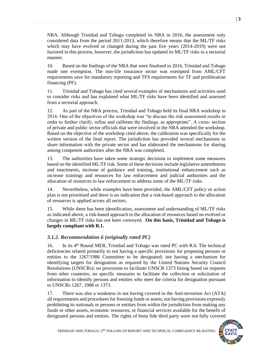NRA. Although Trinidad and Tobago completed its NRA in 2016, the assessment only considered data from the period 2011-2013, which therefore means that the ML/TF risks which may have evolved or changed during the past five years (2014-2019) were not factored in this process, however, the jurisdiction has updated its ML/TF risks in a sectorial manner.

10. Based on the findings of the NRA that were finalised in 2016, Trinidad and Tobago made one exemption. The non-life insurance sector was exempted from AML/CFT requirements save for mandatory reporting and TFS requirements for TF and proliferation financing (PF).

11. Trinidad and Tobago has cited several examples of mechanisms and activities used to consider risks and has explained what ML/TF risks have been identified and assessed from a sectorial approach.

12. As part of the NRA process, Trinidad and Tobago held its final NRA workshop in 2016. One of the objectives of the workshop was "to discuss the risk assessment results in order to further clarify, refine and calibrate the findings, as appropriate". A cross- section of private and public sector officials that were involved in the NRA attended the workshop. Based on the objective of the workshop cited above, the calibration was specifically for the written version of the final report. The jurisdiction has provided several mechanisms to share information with the private sector and has elaborated the mechanisms for sharing among competent authorities after the NRA was completed.

13. The authorities have taken some strategic decisions to implement some measures based on the identified ML/TF risk. Some of these decisions include legislative amendments and enactments, increase of guidance and training, institutional enhancement such as increase trainings and resources for law enforcement and judicial authorities and the allocation of resources to law enforcement to address some of the ML/TF risks.

14. Nevertheless, while examples have been provided, the AML/CFT policy or action plan is not prioritised and there is no indication that a risk-based approach to the allocation of resources is applied across all sectors.

15. While there has been identification, assessment and understanding of ML/TF risks as indicated above, a risk-based approach to the allocation of resources based on evolved or changes in ML/TF risks has not been conveyed. **On this basis, Trinidad and Tobago is largely compliant with R.1.** 

## *3.1.2. Recommendation 6 (originally rated PC)*

16. In its 4<sup>th</sup> Round MER, Trinidad and Tobago was rated PC with R.6. The technical deficiencies related primarily to not having a specific provisions for proposing persons or entities to the 1267/1986 Committee to be designated; not having a mechanism for identifying targets for designation as required by the United Nations Security Council Resolutions (UNSCRs); no provisions to facilitate UNSCR 1373 listing based on requests from other countries; no specific measures to facilitate the collection or solicitation of information to identify persons and entities who meet the criteria for designation pursuant to UNSCRs 1267, 1988 or 1373.

17. There was also a weakness in not having covered in the Anti-terrorism Act (ATA) all requirements and procedures for freezing funds or assets; not having provisions expressly prohibiting its nationals or persons or entities from within the jurisdiction from making any funds or other assets, economic resources, or financial services available for the benefit of designated persons and entities. The rights of bona fide third party were not fully covered

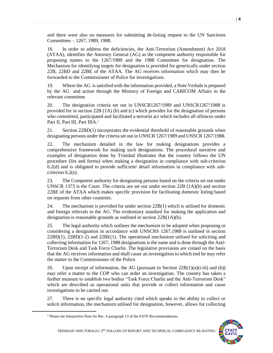and there were also no measures for submitting de-listing request to the UN Sanctions Committees – 1267, 1989, 1988.

18. In order to address the deficiencies, the Anti-Terrorism (Amendment) Act 2018 (ATAA), identifies the Attorney General (AG) as the competent authority responsible for proposing names to the 1267/1989 and the 1988 Committee for designation. The Mechanism for identifying targets for designation is provided for generically under section 22B, 22BD and 22BE of the ATAA. The AG receives information which may then be forwarded to the Commissioner of Police for investigations.

19. Where the AG is satisfied with the information provided, a Note Verbale is prepared by the AG and action through the Ministry of Foreign and CARICOM Affairs to the relevant committee.

20. The designation criteria set out in UNSCR1267/1989 and UNSCR1267/1988 is provided for in section 22B (1A) (b) and (c) which provides for the designation of persons who committed, participated and facilitated a terrorist act which includes all offences under Part II, Part III, Part IIIA.<sup>2</sup>

21. Section 22BD(1) incorporates the evidential threshold of reasonable grounds when designating persons under the criteria set out in UNSCR 1267/1989 and UNSCR 1267/1988.

22. The mechanism detailed in the law for making designations provides a comprehensive framework for making such designations. The procedural narrative and examples of designation done by Trinidad illustrates that the country follows the UN procedure (list and forms) when making a designation in compliance with sub-criterion  $6.2$ (d) and is obligated to provide sufficient/ detail information in compliance with subcriterion 6.2(e).

23. The Competent authority for designating persons based on the criteria set out under UNSCR 1373 is the Court. The criteria are set out under section 22B (1A)(b) and section 22BE of the ATAA which makes specific provision for facilitating domestic listing based on requests from other countries.

24. The mechanism is provided for under section 22B(1) which is utilised for domestic and foreign referrals to the AG. The evidentiary standard for making the application and designation is reasonable grounds as outlined in section 22B(1A)(b).

25. The legal authority which outlines the mechanism to be adopted when proposing or considering a designation in accordance with UNSCRS 1267,1988 is outlined in section 22BD(1), 22BD(1-2) and 22BE(1). The operational mechanism utilised for soliciting and collecting information for 1267, 1988 designations is the same and is done through the Anti-Terrorism Desk and Task Force Charlie. The legislative provisions are coined on the basis that the AG receives information and shall cause an investigation to which end he may refer the matter to the Commissioner of the Police.

26. Upon receipt of information, the AG (pursuant to Section  $22B(1)(a)(i-iii)$  and (b)) may refer a matter to the COP who can order an investigation. The country has taken a further measure to establish two bodies "Task Force Charlie and the Anti-Terrorism Desk" which are described as operational units that provide or collect information and cause investigations to be carried out.

27. There is no specific legal authority cited which speaks to the ability to collect or solicit information, the mechanism utilised for designation, however, allows for collecting

 $\overline{a}$ 



<sup>2</sup> Please see Interpretive Note for Rec. 6 paragraph 13 of the FATF Recommendations.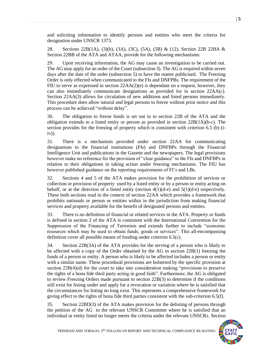and soliciting information to identify persons and entities who meet the criteria for designation under UNSCR 1373.

28. Sections 22B(1A), (3)(b), (3A), (3C), (5A), (5B) & (12), Section 22B 22BA & Section 22BB of the ATA and ATAA, provide for the following mechanisms:

29. Upon receiving information, the AG may cause an investigation to be carried out. The AG may apply for an order of the Court (subsection 3). The AG is required within seven days after the date of the order (subsection 5) to have the matter publicised. The Freezing Order is only effected when communicated to the FIs and DNFPBs. The requirement of the FIU to serve as expressed in section  $22AA(2)(e)$  is dependant on a request, however, they can also immediately communicate designations as provided for in section 22AA(c). Section 22AA(3) allows for circulation of new additions and listed persons immediately. This procedure does allow natural and legal persons to freeze without prior notice and this process can be achieved "without delay".

30. The obligation to freeze funds is set out in in section 22B of the ATA and the obligation extends to a listed entity or person as provided in section  $22B(1A)(b-c)$ . The section provides for the freezing of property which is consistent with criterion 6.5 (b) (iiv)).

31. There is a mechanism provided under section 22AA for communicating designations to the financial institutions (FIs) and DNFBPs through the Financial Intelligence Unit and publications in the Gazette and the newspapers. The legal provisions however make no reference for the provision of "clear guidance" to the FIs and DNFBPs in relation to their obligations in taking action under freezing mechanisms. The FIU has however published guidance on the reporting requirements of FI's and LBs.

32. Sections 4 and 5 of the ATA makes provision for the prohibition of services or collection or provision of property used by a listed entity or by a person or entity acting on behalf, or at the direction of a listed entity (section  $4(1)(d-e)$  and  $5(1)(d-e)$  respectively. These both sections read in the context of section 22AA which provides a framework that prohibits nationals or person or entities within in the jurisdiction from making financial services and property available for the benefit of designated persons and entities.

33. There is no definition of financial or related services in the ATA. Property or funds is defined in section 2 of the ATA is consistent with the International Convention for the Suppression of the Financing of Terrorism and extends further to include "economic resources which may be used to obtain funds, goods or services". This all-encompassing definition cover all possible means of funding under criterion 6.5(c).

34. Section 22B(3A) of the ATA provides for the serving of a person who is likely to be affected with a copy of the Order obtained by the AG in section 22B(1) freezing the funds of a person or entity. A person who is likely to be affected includes a person or entity with a similar name. These procedural provisions are bolstered by the specific provision at section 22B(4)(d) for the court to take into consideration making "provisions to preserve the rights of a bona fide third party acting in good faith". Furthermore, the AG is obligated to review Freezing Orders made pursuant to section 22B(3) to determine if the conditions still exist for listing under and apply for a revocation or variation where he is satisfied that the circumstances for listing no long exist. This represents a comprehensive framework for giving effect to the rights of bona fide third parties consistent with the sub-criterion 6.5(f).

35. Section 22BD(3) of the ATA makes provision for the delisting of persons through the petition of the AG to the relevant UNSCR Committee where he is satisfied that an individual or entity listed no longer meets the criteria under the relevant UNSCRs. Section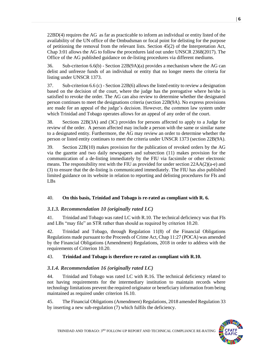22BD(4) requires the AG as far as practicable to inform an individual or entity listed of the availability of the UN office of the Ombudsman or focal point for delisting for the purpose of petitioning the removal from the relevant lists. Section 45(2) of the Interpretation Act, Chap 3:01 allows the AG to follow the procedures laid out under UNSCR 2368(2017). The Office of the AG published guidance on de-listing procedures via different mediums.

36. Sub-criterion 6.6(b) - Section 22B(9A)(a) provides a mechanism where the AG can delist and unfreeze funds of an individual or entity that no longer meets the criteria for listing under UNSCR 1373.

37. Sub-criterion 6.6 (c) - Section 22B(6) allows the listed entity to review a designation based on the decision of the court, where the judge has the prerogative where he/she is satisfied to revoke the order. The AG can also review to determine whether the designated person continues to meet the designations criteria (section 22B(9A). No express provisions are made for an appeal of the judge's decision. However, the common law system under which Trinidad and Tobago operates allows for an appeal of any order of the court.

38. Sections 22B(3A) and (3C) provides for persons affected to apply to a Judge for review of the order. A person affected may include a person with the same or similar name to a designated entity. Furthermore, the AG may review an order to determine whether the person or listed entity continues to meet the criteria under UNSCR 1373 (section 22B(9A).

39. Section 22B(10) makes provision for the publication of revoked orders by the AG via the gazette and two daily newspapers and subsection (11) makes provision for the communication of a de-listing immediately by the FIU via facsimile or other electronic means. The responsibility rest with the FIU as provided for under section 22AA(2)(a-e) and (3) to ensure that the de-listing is communicated immediately. The FIU has also published limited guidance on its website in relation to reporting and delisting procedures for FIs and LBs

## 40. **On this basis, Trinidad and Tobago is re-rated as compliant with R. 6.**

## *3.1.3. Recommendation 10 (originally rated LC)*

41. Trinidad and Tobago was rated LC with R.10. The technical deficiency was that FIs and LBs "may file" an STR rather than should as required by criterion 10.20.

42. Trinidad and Tobago, through Regulation 11(8) of the Financial Obligations Regulations made pursuant to the Proceeds of Crime Act, Chap 11:27 (POCA) was amended by the Financial Obligations (Amendment) Regulations, 2018 in order to address with the requirements of Criterion 10.20.

## 43. **Trinidad and Tobago is therefore re-rated as compliant with R.10.**

## *3.1.4. Recommendation 16 (originally rated LC)*

44. Trinidad and Tobago was rated LC with R.16. The technical deficiency related to not having requirements for the intermediary institution to maintain records where technology limitations prevent the required originator or beneficiary information from being maintained as required under criterion 16.10.

45. The Financial Obligations (Amendment) Regulations, 2018 amended Regulation 33 by inserting a new sub-regulation (7) which fulfils the deficiency.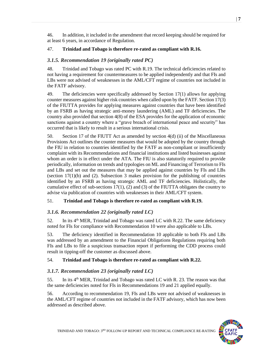46. In addition, it included in the amendment that record keeping should be required for at least 6 years, in accordance of Regulation.

## 47. **Trinidad and Tobago is therefore re-rated as compliant with R.16.**

## *3.1.5. Recommendation 19 (originally rated PC)*

48. Trinidad and Tobago was rated PC with R.19. The technical deficiencies related to not having a requirement for countermeasures to be applied independently and that FIs and LBs were not advised of weaknesses in the AML/CFT regime of countries not included in the FATF advisory.

49. The deficiencies were specifically addressed by Section 17(1) allows for applying counter measures against higher risk countries when called upon by the FATF. Section 17(3) of the FIUTTA provides for applying measures against countries that have been identified by an FSRB as having strategic anti-money laundering (AML) and TF deficiencies. The country also provided that section 4(8) of the ESA provides for the application of economic sanctions against a country where a "grave breach of international peace and security" has occurred that is likely to result in a serious international crisis.

50. Section 17 of the FIUTT Act as amended by section 4(d) (ii) of the Miscellaneous Provisions Act outlines the counter measures that would be adopted by the country through the FIU in relation to countries identified by the FATF as non-compliant or insufficiently complaint with its Recommendations and financial institutions and listed businesses against whom an order is in effect under the ATA. The FIU is also statutorily required to provide periodically, information on trends and typologies on ML and Financing of Terrorism to FIs and LBs and set out the measures that may be applied against countries by FIs and LBs (section  $17(1)(b)$  and (2). Subsection 3 makes provision for the publishing of countries identified by an FSRB as having strategic AML and TF deficiencies. Holistically, the cumulative effect of sub-sections  $17(1)$ , (2) and (3) of the FIUTTA obligates the country to advise via publication of countries with weaknesses in their AML/CFT system.

## 51. **Trinidad and Tobago is therefore re-rated as compliant with R.19.**

## *3.1.6. Recommendation 22 (originally rated LC)*

52. In its  $4<sup>th</sup> MER$ , Trinidad and Tobago was rated LC with R.22. The same deficiency noted for FIs for compliance with Recommendation 10 were also applicable to LBs.

53. The deficiency identified in Recommendation 10 applicable to both FIs and LBs was addressed by an amendment to the Financial Obligations Regulations requiring both FIs and LBs to file a suspicious transaction report if performing the CDD process could result in tipping-off the customer as discussed above.

## 54. **Trinidad and Tobago is therefore re-rated as compliant with R.22.**

## *3.1.7. Recommendation 23 (originally rated LC)*

55. In its  $4<sup>th</sup> MER$ , Trinidad and Tobago was rated LC with R. 23. The reason was that the same deficiencies noted for FIs in Recommendations 19 and 21 applied equally.

56. According to recommendation 19, FIs and LBs were not advised of weaknesses in the AML/CFT regime of countries not included in the FATF advisory, which has now been addressed as described above.

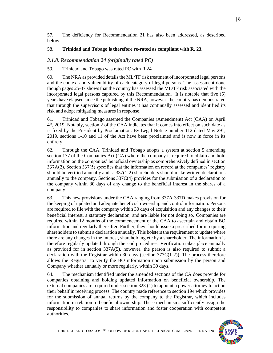57. The deficiency for Recommendation 21 has also been addressed, as described below.

#### 58. **Trinidad and Tobago is therefore re-rated as compliant with R. 23.**

#### *3.1.8. Recommendation 24 (originally rated PC)*

59. Trinidad and Tobago was rated PC with R.24.

60. The NRA as provided details the ML/TF risk treatment of incorporated legal persons and the context and vulnerability of each category of legal persons. The assessment done though pages 25-37 shows that the country has assessed the ML/TF risk associated with the incorporated legal persons captured by this Recommendation. It is notable that five (5) years have elapsed since the publishing of the NRA, however, the country has demonstrated that through the supervisors of legal entities it has continually assessed and identified its risk and adopt mitigating measures in response.

61. Trinidad and Tobago assented the Companies (Amendment) Act (CAA) on April 4 th, 2019. Notably, section 2 of the CAA indicates that it comes into effect on such date as is fixed by the President by Proclamation. By Legal Notice number 112 dated May  $29<sup>th</sup>$ , 2019, sections 1-10 and 11 of the Act have been proclaimed and is now in force in its entirety.

62. Through the CAA, Trinidad and Tobago adopts a system at section 5 amending section 177 of the Companies Act (CA) where the company is required to obtain and hold information on the companies' beneficial ownership as comprehensively defined in section 337A(2). Section 337(5) specifies that the information on record at the companies' registry should be verified annually and ss.337(1-2) shareholders should make written declarations annually to the company. Sections 337C(4) provides for the submission of a declaration to the company within 30 days of any change to the beneficial interest in the shares of a company.

63. This new provisions under the CAA ranging from 337A-337D makes provision for the keeping of updated and adequate beneficial ownership and control information. Persons are required to file with the company within 30 days of acquisition and any changes to their beneficial interest, a statutory declaration, and are liable for not doing so. Companies are required within 12 months of the commencement of the CAA to ascertain and obtain BO information and regularly thereafter. Further, they should issue a prescribed form requiring shareholders to submit a declaration annually. This bolsters the requirement to update where there are any changes in the interest, shareholding etc by a shareholder. The information is therefore regularly updated through the said procedures. Verification takes place annually as provided for in section 337A(5), however, the person is also required to submit a declaration with the Registrar within 30 days (section  $377C(1-2)$ ). The process therefore allows the Registrar to verify the BO information upon submission by the person and Company whether annually or more regularly, within 30 days.

64. The mechanism identified under the amended sections of the CA does provide for companies obtaining and holding updated information on beneficial ownership. The external companies are required under section 323 (1) to appoint a power attorney to act on their behalf in receiving process. The country made reference to section 194 which provides for the submission of annual returns by the company to the Registrar, which includes information in relation to beneficial ownership. These mechanisms sufficiently assign the responsibility to companies to share information and foster cooperation with competent authorities.

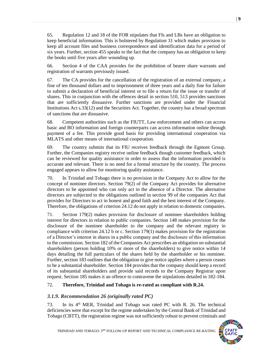65. Regulation 12 and 18 of the FOR stipulates that FIs and LBs have an obligation to keep beneficial information. This is bolstered by Regulation 31 which makes provision to keep all account files and business correspondence and identification data for a period of six years. Further, section 455 speaks to the fact that the company has an obligation to keep the books until five years after wounding up.

66. Section 4 of the CAA provides for the prohibition of bearer share warrants and registration of warrants previously issued.

67. The CA provides for the cancellation of the registration of an external company, a fine of ten thousand dollars and to imprisonment of three years and a daily fine for failure to submit a declaration of beneficial interest or to file a return for the issue or transfer of shares. This in conjunction with the offences detail in section 510, 513 provides sanctions that are sufficiently dissuasive. Further sanctions are provided under the Financial Institutions Act s.33(12) and the Securities Act. Together, the country has a broad spectrum of sanctions that are dissuasive.

68. Competent authorities such as the FIUTT, Law enforcement and others can access basic and BO information and foreign counterparts can access information online through payment of a fee. This provide good basis for providing international cooperation via MLATS and other means of international cooperation.

69. The country submits that its FIU receives feedback through the Egmont Group. Further, the Companies registry receive online feedback though customer feedback, which can be reviewed for quality assistance in order to assess that the information provided is accurate and relevant. There is no need for a formal structure by the country. The process engaged appears to allow for monitoring quality assistance.

70. In Trinidad and Tobago there is no provision in the Company Act to allow for the concept of nominee directors. Section 79(2) of the Company Act provides for alternative directors to be appointed who can only act in the absence of a Director. The alternative directors are subjected to the obligations outlined in section 99 of the companies Act that provides for Directors to act in honest and good faith and the best interest of the Company. Therefore, the obligations of criterion 24.12 do not apply in relation to domestic companies.

71. Section 179(2) makes provision for disclosure of nominee shareholders holding interest for directors in relation to public companies. Section 148 makes provision for the disclosure of the nominee shareholder to the company and the relevant registry in compliance with criterion 24.12 b or c. Section 179(1) makes provision for the registration of a Director's interest in shares in a public company and the disclosure of this information to the commission. Section 182 of the Companies Act prescribes an obligation on substantial shareholders (person holding 10% or more of the shareholders) to give notice within 14 days detailing the full particulars of the shares held by the shareholder or his nominee. Further, section 183 outlines that the obligation to give notice applies where a person ceases to be a substantial shareholder. Section 184 provides that the company should keep a record of its substantial shareholders and provide said records to the Company Registrar upon request. Section 185 makes it an offence to contravene the stipulations detailed in 182-184.

## 72. **Therefore, Trinidad and Tobago is re-rated as compliant with R.24.**

## *3.1.9. Recommendation 26 (originally rated PC)*

73. In its  $4<sup>th</sup>$  MER, Trinidad and Tobago was rated PC with R. 26. The technical deficiencies were that except for the regime undertaken by the Central Bank of Trinidad and Tobago (CBTT), the registration regime was not sufficiently robust to prevent criminals and

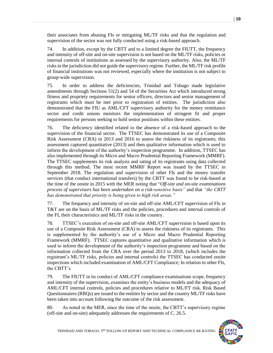their associates from abusing FIs or mitigating ML/TF risks and that the regulation and supervision of the sector was not fully conducted using a risk-based approach.

74. In addition, except by the CBTT and to a limited degree the FIUTT, the frequency and intensity of off-site and on-site supervision is not based on the ML/TF risks, policies or internal controls of institutions as assessed by the supervisory authority. Also, the ML/TF risks in the jurisdiction did not guide the supervisory regime. Further, the ML/TF risk profile of financial institutions was not reviewed, especially where the institution is not subject to group-wide supervision.

75. In order to address the deficiencies, Trinidad and Tobago made legislative amendments through Sections 51(2) and 54 of the Securities Act which introduced strong fitness and propriety requirements for senior officers, directors and senior management of registrants which must be met prior to registration of entities. The jurisdiction also demonstrated that the FIU as AML/CFT supervisory authority for the money remittance sector and credit unions monitors the implementation of stringent fit and proper requirements for persons seeking to hold senior positions within these entities.

76. The deficiency identified related to the absence of a risk-based approach to the supervision of the financial sector. The TTSEC has demonstrated its use of a Composite Risk Assessment (CRA) in 2013 and 2016 to assess the riskiness of its registrants; this assessment captured quantitative (2013) and then qualitative information which is used to inform the development of the authority's inspection programme. In addition, TTSEC has also implemented through its Micro and Macro Prudential Reporting Framework (MMRF). The TTSEC supplements its risk analysis and rating of its registrants using data collected through this method. The most recent MMRF Report was issued by the TTSEC in September 2018. The regulation and supervision of other FIs and the money transfer services (that conduct international transfers) by the CBTT was found to be risk-based at the time of the onsite in 2015 with the MER noting that "*Off-site and on-site examinations process of supervisors has been undertaken on a risk-sensitive basis"* and that *"the CBTT has demonstrated that priority is being given to high risk areas."*

77. The frequency and intensity of on-site and off-site AML/CFT supervision of FIs in T&T are on the basis of ML/TF risks and the policies, procedures and internal controls of the FI, their characteristics and ML/TF risks in the country.

78. TTSEC's execution of on-site and off-site AML/CFT supervision is based upon its use of a Composite Risk Assessment (CRA) to assess the riskiness of its registrants. This is supplemented by the authority's use of a Micro and Macro Prudential Reporting Framework (MMRF). TTSEC captures quantitative and qualitative information which is used to inform the development of the authority's inspection programme and based on the information collected from the CRA over the period 2013 to 2018, (which includes the registrant's ML/TF risks, policies and internal controls) the TTSEC has conducted onsite inspections which included examination of AML/CFT Compliance; In relation to other FIs, the CBTT's

79. The FIUTT in its conduct of AML/CFT compliance examinations scope, frequency and intensity of the supervision, examines the entity's business models and the adequacy of AML/CFT internal controls, policies and procedures relative to ML/FT risk. Risk Based Questionnaires (RBQs) are issued to the entities by sector and the country ML/TF risks have been taken into account following the outcome of the risk assessment.

80. As noted in the MER, since the time of the onsite, the CBTT's supervisory regime (off-site and on-site) adequately addresses the requirements of C. 26.5.

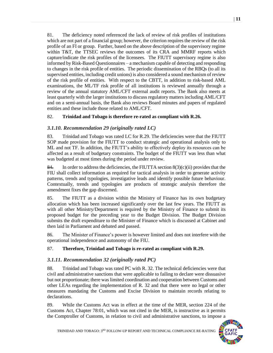81. The deficiency noted referenced the lack of review of risk profiles of institutions which are not part of a financial group; however, the criterion requires the review of the risk profile of an FI or group. Further, based on the above description of the supervisory regime within T&T, the TTSEC reviews the outcomes of its CRA and MMRF reports which capture/indicate the risk profiles of the licensees. The FIUTT supervisory regime is also informed by Risk-Based Questionnaires – a mechanism capable of detecting and responding to changes in the risk profile of entities. The periodic dissemination of the RBQs (to all its supervised entities, including credit unions) is also considered a sound mechanism of review of the risk profile of entities. With respect to the CBTT, in addition to risk-based AML examinations, the ML/TF risk profile of all institutions is reviewed annually through a review of the annual statutory AML/CFT external audit reports. The Bank also meets at least quarterly with the larger institutions to discuss regulatory matters including AML/CFT and on a semi-annual basis, the Bank also reviews Board minutes and papers of regulated entities and these include those related to AML/CFT.

#### 82. **Trinidad and Tobago is therefore re-rated as compliant with R.26.**

#### *3.1.10. Recommendation 29 (originally rated LC)*

83. Trinidad and Tobago was rated LC for R.29. The deficiencies were that the FIUTT SOP made provision for the FIUTT to conduct strategic and operational analysis only to ML and not TF. In addition, the FIUTT's ability to effectively deploy its resources can be affected as a result of budgetary constraints. The budget of the FIUTT was less than what was budgeted at most times during the period under review.

84. In order to address the deficiencies, the FIUTTA section  $8(3)(c)(ii)$  provides that the FIU shall collect information as required for tactical analysis in order to generate activity patterns, trends and typologies, investigative leads and identify possible future behaviour. Contextually, trends and typologies are products of strategic analysis therefore the amendment fixes the gap discerned.

85. The FIUTT as a division within the Ministry of Finance has its own budgetary allocation which has been increased significantly over the last few years. The FIUTT as with all other Ministry/Department is required by the Ministry of Finance to submit its proposed budget for the preceding year to the Budget Division. The Budget Division submits the draft expenditure to the Minister of Finance which is discussed at Cabinet and then laid in Parliament and debated and passed.

86. The Minister of Finance's power is however limited and does not interfere with the operational independence and autonomy of the FIU.

#### 87. **Therefore, Trinidad and Tobago is re-rated as compliant with R.29.**

#### *3.1.11. Recommendation 32 (originally rated PC)*

88. Trinidad and Tobago was rated PC with R. 32. The technical deficiencies were that civil and administrative sanctions that were applicable to failing to declare were dissuasive but not proportionate; there was limited coordination and cooperation between Customs and other LEAs regarding the implementation of R. 32 and that there were no legal or other measures mandating the Customs and Excise Division to maintain records relating to declarations.

89. While the Customs Act was in effect at the time of the MER, section 224 of the Customs Act, Chapter 78:01, which was not cited in the MER, is instructive as it permits the Comptroller of Customs, in relation to civil and administrative sanctions, to impose a

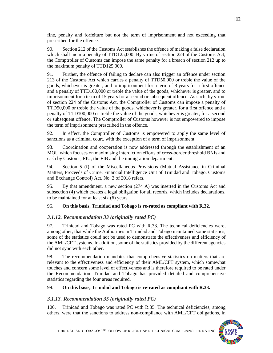fine, penalty and forfeiture but not the term of imprisonment and not exceeding that prescribed for the offence.

90. Section 212 of the Customs Act establishes the offence of making a false declaration which shall incur a penalty of TTD125,000. By virtue of section 224 of the Customs Act, the Comptroller of Customs can impose the same penalty for a breach of section 212 up to the maximum penalty of TTD125,000.

91. Further, the offence of failing to declare can also trigger an offence under section 213 of the Customs Act which carries a penalty of TTD50,000 or treble the value of the goods, whichever is greater, and to imprisonment for a term of 8 years for a first offence and a penalty of TTD100,000 or treble the value of the goods, whichever is greater, and to imprisonment for a term of 15 years for a second or subsequent offence. As such, by virtue of section 224 of the Customs Act, the Comptroller of Customs can impose a penalty of TTD50,000 or treble the value of the goods, whichever is greater, for a first offence and a penalty of TTD100,000 or treble the value of the goods, whichever is greater, for a second or subsequent offence. The Comptroller of Customs however is not empowered to impose the term of imprisonment prescribed in the offence.

92. In effect, the Comptroller of Customs is empowered to apply the same level of sanctions as a criminal court, with the exception of a term of imprisonment.

93. Coordination and cooperation is now addressed through the establishment of an MOU which focuses on maximising interdiction efforts of cross-border threshold BNIs and cash by Customs, FIU, the FIB and the immigration department.

94. Section 5 (f) of the Miscellaneous Provisions (Mutual Assistance in Criminal Matters, Proceeds of Crime, Financial Intelligence Unit of Trinidad and Tobago, Customs and Exchange Control) Act, No. 2 of 2018 refers.

95. By that amendment, a new section (274 A) was inserted in the Customs Act and subsection (4) which creates a legal obligation for all records, which includes declarations, to be maintained for at least six (6) years.

## 96. **On this basis, Trinidad and Tobago is re-rated as compliant with R.32.**

## *3.1.12. Recommendation 33 (originally rated PC)*

97. Trinidad and Tobago was rated PC with R.33. The technical deficiencies were, among other, that while the Authorities in Trinidad and Tobago maintained some statistics, some of the statistics could not be used to demonstrate the effectiveness and efficiency of the AML/CFT systems. In addition, some of the statistics provided by the different agencies did not sync with each other.

98. The recommendation mandates that comprehensive statistics on matters that are relevant to the effectiveness and efficiency of their AML/CFT system, which somewhat touches and concern some level of effectiveness and is therefore required to be rated under the Recommendation. Trinidad and Tobago has provided detailed and comprehensive statistics regarding the four areas required.

## 99. **On this basis, Trinidad and Tobago is re-rated as compliant with R.33.**

## *3.1.13. Recommendation 35 (originally rated PC)*

100. Trinidad and Tobago was rated PC with R.35. The technical deficiencies, among others, were that the sanctions to address non-compliance with AML/CFT obligations, in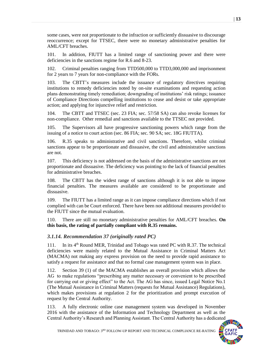some cases, were not proportionate to the infraction or sufficiently dissuasive to discourage reoccurrence; except for TTSEC, there were no monetary administrative penalties for AML/CFT breaches.

101. In addition, FIUTT has a limited range of sanctioning power and there were deficiencies in the sanctions regime for R.6 and 8-23.

102. Criminal penalties ranging from TTD500,000 to TTD3,000,000 and imprisonment for 2 years to 7 years for non-compliance with the FORs.

103. The CBTT's measures include the issuance of regulatory directives requiring institutions to remedy deficiencies noted by on-site examinations and requesting action plans demonstrating timely remediation; downgrading of institutions' risk ratings; issuance of Compliance Directions compelling institutions to cease and desist or take appropriate action; and applying for injunctive relief and restriction.

104. The CBTT and TTSEC (sec. 23 FIA; sec. 57/58 SA) can also revoke licenses for non-compliance. Other remedial and sanctions available to the TTSEC not provided.

105. The Supervisors all have progressive sanctioning powers which range from the issuing of a notice to court action (sec. 86 FIA; sec. 90 SA; sec. 18G FIUTTA).

106. R.35 speaks to administrative and civil sanctions. Therefore, whilst criminal sanctions appear to be proportionate and dissuasive, the civil and administrative sanctions are not.

107. This deficiency is not addressed on the basis of the administrative sanctions are not proportionate and dissuasive. The deficiency was pointing to the lack of financial penalties for administrative breaches.

108. The CBTT has the widest range of sanctions although it is not able to impose financial penalties. The measures available are considered to be proportionate and dissuasive.

109. The FIUTT has a limited range as it can impose compliance directions which if not complied with can be Court enforced. There have been not additional measures provided to the FIUTT since the mutual evaluation.

110. There are still no monetary administrative penalties for AML/CFT breaches. **On this basis, the rating of partially compliant with R.35 remains.**

## *3.1.14. Recommendation 37 (originally rated PC)*

111. In its  $4<sup>th</sup>$  Round MER, Trinidad and Tobago was rated PC with R.37. The technical deficiencies were mainly related to the Mutual Assistance in Criminal Matters Act (MACMA) not making any express provision on the need to provide rapid assistance to satisfy a request for assistance and that no formal case management system was in place.

112. Section 39 (1) of the MACMA establishes an overall provision which allows the AG to make regulations "prescribing any matter necessary or convenient to be prescribed for carrying out or giving effect" to the Act. The AG has since, issued Legal Notice No.1 (The Mutual Assistance in Criminal Matters (requests for Mutual Assistance) Regulations), which makes provisions at regulation 2 for the prioritization and prompt execution of request by the Central Authority.

113. A fully electronic online case management system was developed in November 2016 with the assistance of the Information and Technology Department as well as the Central Authority's Research and Planning Assistant. The Central Authority has a dedicated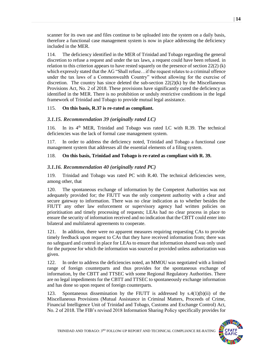scanner for its own use and files continue to be uploaded into the system on a daily basis, therefore a functional case management system is now in place addressing the deficiency included in the MER.

114. The deficiency identified in the MER of Trinidad and Tobago regarding the general discretion to refuse a request and under the tax laws, a request could have been refused. in relation to this criterion appears to have rested squarely on the presence of section 22(2) (k) which expressly stated that the AG "Shall refuse... if the request relates to a criminal offence under the tax laws of a Commonwealth Country" without allowing for the exercise of discretion. The country has since deleted the sub-section  $22(2)(k)$  by the Miscellaneous Provisions Act, No. 2 of 2018. These provisions have significantly cured the deficiency as identified in the MER. There is no prohibition or unduly restrictive conditions in the legal framework of Trinidad and Tobago to provide mutual legal assistance.

## 115. **On this basis, R.37 is re-rated as compliant.**

## *3.1.15. Recommendation 39 (originally rated LC)*

116. In its  $4<sup>th</sup>$  MER, Trinidad and Tobago was rated LC with R.39. The technical deficiencies was the lack of formal case management system.

117. In order to address the deficiency noted, Trinidad and Tobago a functional case management system that addresses all the essential elements of a filing system.

#### 118. **On this basis, Trinidad and Tobago is re-rated as compliant with R. 39.**

#### *3.1.16. Recommendation 40 (originally rated PC)*

119. Trinidad and Tobago was rated PC with R.40. The technical deficiencies were, among other, that

120. The spontaneous exchange of information by the Competent Authorities was not adequately provided for; the FIUTT was the only competent authority with a clear and secure gateway to information. There was no clear indication as to whether besides the FIUTT any other law enforcement or supervisory agency had written policies on prioritisation and timely processing of requests; LEAs had no clear process in place to ensure the security of information received and no indication that the CBTT could enter into bilateral and multilateral agreements to cooperate.

121. In addition, there were no apparent measures requiring requesting CAs to provide timely feedback upon request to CAs that they have received information from; there was no safeguard and control in place for LEAs to ensure that information shared was only used for the purpose for which the information was sourced or provided unless authorization was given.

122. In order to address the deficiencies noted, an MMOU was negotiated with a limited range of foreign counterparts and thus provides for the spontaneous exchange of information, by the CBTT and TTSEC with some Regional Regulatory Authorities. There are no legal impediments for the CBTT and TTSEC to spontaneously exchange information and has done so upon request of foreign counterparts.

123. Spontaneous dissemination by the FIUTT is addressed by s.4(1)(b)(ii) of the Miscellaneous Provisions (Mutual Assistance in Criminal Matters, Proceeds of Crime, Financial Intelligence Unit of Trinidad and Tobago, Customs and Exchange Control) Act, No. 2 of 2018. The FIB's revised 2018 Information Sharing Policy specifically provides for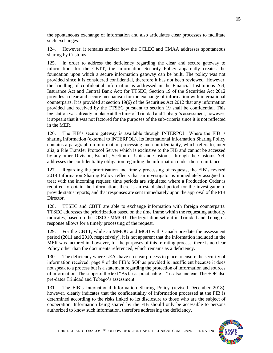the spontaneous exchange of information and also articulates clear processes to facilitate such exchanges.

124. However, it remains unclear how the CCLEC and CMAA addresses spontaneous sharing by Customs.

125. In order to address the deficiency regarding the clear and secure gateway to information, for the CBTT, the Information Security Policy apparently creates the foundation upon which a secure information gateway can be built. The policy was not provided since it is considered confidential, therefore it has not been reviewed. However, the handling of confidential information is addressed in the Financial Institutions Act, Insurance Act and Central Bank Act; for TTSEC, Section 19 of the Securities Act 2012 provides a clear and secure mechanism for the exchange of information with international counterparts. It is provided at section 19(6) of the Securities Act 2012 that any information provided and received by the TTSEC pursuant to section 19 shall be confidential. This legislation was already in place at the time of Trinidad and Tobago's assessment, however, it appears that it was not factored for the purposes of the sub-criteria since it is not reflected in the MER.

126. The FIB's secure gateway is available through INTERPOL. Where the FIB is sharing information (external to INTERPOL), its International Information Sharing Policy contains a paragraph on information processing and confidentiality, which refers to, inter alia, a File Transfer Protocol Server which is exclusive to the FIB and cannot be accessed by any other Division, Branch, Section or Unit and Customs, through the Customs Act, addresses the confidentiality obligation regarding the information under their remittance.

127. Regarding the prioritisation and timely processing of requests, the FIB's revised 2018 Information Sharing Policy reflects that an investigator is immediately assigned to treat with the incoming request; time periods are stipulated where a Production Order is required to obtain the information; there is an established period for the investigator to provide status reports; and that responses are sent immediately upon the approval of the FIB Director.

128. TTSEC and CBTT are able to exchange information with foreign counterparts. TTSEC addresses the prioritization based on the time frame within the requesting authority indicates, based on the IOSCO MMOU. The legislation set out in Trinidad and Tobago's response allows for a timely processing of the request.

129. For the CBTT, while an MMOU and MOU with Canada pre-date the assessment period (2011 and 2010, respectively), it is not apparent that the information included in the MER was factored in, however, for the purposes of this re-rating process, there is no clear Policy other than the documents referenced, which remains as a deficiency.

130. The deficiency where LEAs have no clear process in place to ensure the security of information received, page 9 of the FIB's SOP as provided is insufficient because it does not speak to a process but is a statement regarding the protection of information and sources of information. The scope of the text "As far as practicable…" is also unclear. The SOP also pre-dates Trinidad and Tobago's assessment.

131. The FIB's International Information Sharing Policy (revised December 2018), however, clearly indicates that the confidentiality of information processed at the FIB is determined according to the risks linked to its disclosure to those who are the subject of cooperation. Information being shared by the FIB should only be accessible to persons authorized to know such information, therefore addressing the deficiency.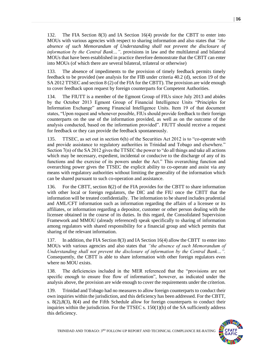132. The FIA Section 8(3) and IA Section 16(4) provide for the CBTT to enter into MOUs with various agencies with respect to sharing information and also states that *"the*  absence of such Memorandum of Understanding shall not prevent the disclosure of *information by the Central Bank…"*. provisions in law and the multilateral and bilateral MOUs that have been established in practice therefore demonstrate that the CBTT can enter into MOUs (of which there are several bilateral, trilateral or otherwise)

133. The absence of impediments to the provision of timely feedback permits timely feedback to be provided (see analysis for the FIB under criteria 40.2 (d), section 19 of the SA 2012 TTSEC and section 8 (2) of the FIA for the CBTT). The provision are wide enough to cover feedback upon request by foreign counterparts for Competent Authorities.

134. The FIUTT is a member of the Egmont Group of FIUs since July 2013 and abides by the October 2013 Egmont Group of Financial Intelligence Units "Principles for Information Exchange" among Financial Intelligence Units. Item 19 of that document states, "Upon request and whenever possible, FIUs should provide feedback to their foreign counterparts on the use of the information provided, as well as on the outcome of the analysis conducted, based on the information provided". FIUTT should receive a request for feedback or they can provide the feedback spontaneously.

135. TTSEC, as set out in section 6(h) of the Securities Act 2012 is to "co-operate with and provide assistance to regulatory authorities in Trinidad and Tobago and elsewhere." Section 7(n) of the SA 2012 gives the TTSEC the power to "do all things and take all actions which may be necessary, expedient, incidental or conducive to the discharge of any of its functions and the exercise of its powers under the Act." This overarching function and overarching power gives the TTSEC the explicit ability to co-operate and assist via any means with regulatory authorities without limiting the generality of the information which can be shared pursuant to such co-operation and assistance.

136. For the CBTT, section 8(2) of the FIA provides for the CBTT to share information with other local or foreign regulators, the DIC and the FIU once the CBTT that the information will be treated confidentially. The information to be shared includes prudential and AML/CFT information such as information regarding the affairs of a licensee or its affiliates, or information regarding a depositor, customer or other person dealing with the licensee obtained in the course of its duties. In this regard, the Consolidated Supervision Framework and MMOU (already referenced) speak specifically to sharing of information among regulators with shared responsibility for a financial group and which permits that sharing of the relevant information.

137. In addition, the FIA Section 8(3) and IA Section 16(4) allow the CBTT to enter into MOUs with various agencies and also states that *"the absence of such Memorandum of Understanding shall not prevent the disclosure of information by the Central Bank…".* Consequently, the CBTT is able to share information with other foreign regulators even where no MOU exists.

138. The deficiencies included in the MER referenced that the "provisions are not specific enough to ensure free flow of information", however, as indicated under the analysis above, the provision are wide enough to cover the requirements under the criterion.

139. Trinidad and Tobago had no measures to allow foreign counterparts to conduct their own inquiries within the jurisdiction, and this deficiency has been addressed. For the CBTT, s. 8(2),8(3), 8(4) and the Fifth Schedule allow for foreign counterparts to conduct their inquiries within the jurisdiction. For the TTSEC s.  $150(1)(b)$  of the SA sufficiently address this deficiency.

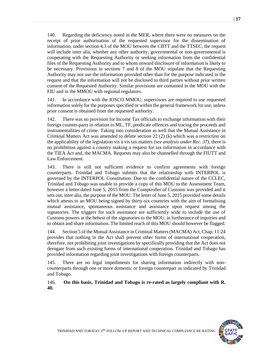140. Regarding the deficiency noted in the MER, where there were no measures on the receipt of prior authorisation of the requested supervisor for the dissemination of information, under section 4.3 of the MOU between the CBTT and the TTSEC, the request will include inter alia, whether any other authority, governmental or non-governmental is cooperating with the Requesting Authority or seeking information from the confidential files of the Requesting Authority and to whom onward disclosure of information is likely to be necessary. Provisions in sections 7 and 8 of the MOU stipulate that the Requesting Authority may not use the information provided other than for the purpose indicated in the request and that the information will not be disclosed to third parties without prior written consent of the Requested Authority. Similar provisions are contained in the MOU with the FIU and in the MMOU with regional regulators.

141. In accordance with the IOSCO MMOU, supervisors are required to use requested information solely for the purposes specified or within the general framework for use, unless prior consent is obtained from the requested authority.

142. There was no provision for Income Tax officials to exchange information with their foreign counter-parts in relation to ML, TF, predicate offences and tracing the proceeds and instrumentalities of crime. Taking into consideration as well that the Mutual Assistance in Criminal Matters Act was amended to delete section 22 (2) (k) which was a restriction on the applicability of the legislation vis à vis tax matters *(see analysis under Rec. 37)*, there is no prohibition against a country making a request for tax information in accordance with the TIEA Act and, the MACMA. Requests may also be channelled through the FIUTT and Law Enforcement.

143. There is still not sufficient evidence to confirm agreements with foreign counterparts. Trinidad and Tobago submits that the relationship with INTERPOL is governed by the INTERPOL Constitution. Due to the confidential nature of the CCLEC, Trinidad and Tobago was unable to provide a copy of this MOU to the Assessment Team, however a letter dated June 5, 2015 from the Comptroller of Customs was provided and it sets out, inter alia, the purpose of the MOU. The letter of June 5, 2015 provided some details which attests to an MOU being signed by thirty-six countries with the aim of formalising mutual assistance, spontaneous assistance and assistance upon request among the signatories. The triggers for such assistance are sufficiently wide to include the use of Customs powers at the behest of the signatories to the MOU, in furtherance of inquiries and to obtain and share information. The limited reach of this MOU should however be flagged.

144. Section 5 of the Mutual Assistance in Criminal Matters (MACMA) Act, Chap. 11:24 provides that nothing in the Act shall prevent other forms of international cooperation, therefore, not prohibiting joint investigations by specifically providing that the Act does not derogate from such existing forms of international cooperation. Trinidad and Tobago has provided information regarding joint investigations with foreign counterparts.

145. There are no legal impediments for sharing information indirectly with noncounterparts through one or more domestic or foreign counterpart as indicated by Trinidad and Tobago.

#### 146. **On this basis, Trinidad and Tobago is re-rated as largely compliant with R. 40.**

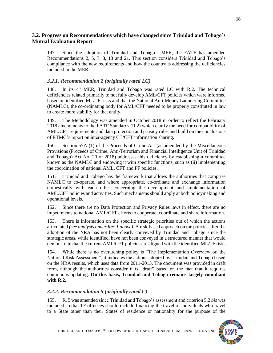## **3.2. Progress on Recommendations which have changed since Trinidad and Tobago's Mutual Evaluation Report**

147. Since the adoption of Trinidad and Tobago's MER, the FATF has amended Recommendations 2, 5, 7, 8, 18 and 21. This section considers Trinidad and Tobago's compliance with the new requirements and how the country is addressing the deficiencies included in the MER.

## *3.2.1. Recommendation 2 (originally rated LC)*

148. In its 4<sup>th</sup> MER, Trinidad and Tobago was rated LC with R.2. The technical deficiencies related primarily to not fully develop AML/CFT policies which were informed based on identified ML/TF risks and that the National Anti-Money Laundering Committee (NAMLC), the co-ordinating body for AML/CFT needed to be properly constituted in law to create more stability for that entity.

149. The Methodology was amended in October 2018 in order to reflect the February 2018 amendments to the FATF Standards (R.2) which clarify the need for compatibility of AML/CFT requirements and data protection and privacy rules and build on the conclusions of RTMG's report on inter-agency CT/CFT information sharing.

150. Section 57A (1) of the Proceeds of Crime Act (as amended by the Miscellaneous Provisions (Proceeds of Crime, Anti-Terrorism and Financial Intelligence Unit of Trinidad and Tobago) Act No. 20 of 2018) addresses this deficiency by establishing a committee known as the NAMLC and endowing it with specific functions, such as (ii) implementing the coordination of national AML, CFT and PF policies.

151. Trinidad and Tobago has the framework that allows the authorities that comprise NAMLC to co-operate, and where appropriate, co-ordinate and exchange information domestically with each other concerning the development and implementation of AML/CFT policies and activities. Such mechanisms should apply at both policymaking and operational levels.

152. Since there are no Data Protection and Privacy Rules laws in effect, there are no impediments to national AML/CFT efforts to cooperate, coordinate and share information.

153. There is information on the specific strategic priorities out of which the actions articulated *(see analysis under Rec.1 above)*. A risk-based approach on the policies after the adoption of the NRA has not been clearly conveyed by Trinidad and Tobago since the strategic areas, while identified, have not been conveyed in a structured manner that would demonstrate that the current AML/CFT policies are aligned with the identified ML/TF risks

154. While there is no overarching policy is "The Implementation Overview on the National Risk Assessment", it indicates the actions adopted by Trinidad and Tobago based on the NRA results, which uses data from 2011-2013. The document was provided in draft form, although the authorities consider it is "draft" based on the fact that it requires continuous updating. **On this basis, Trinidad and Tobago remains largely compliant with R.2.** 

## *3.2.2. Recommendation 5 (originally rated C)*

155. R. 5 was amended since Trinidad and Tobago's assessment and criterion 5.2 *bis* was included so that TF offences should include financing the travel of individuals who travel to a State other than their States of residence or nationality for the purpose of the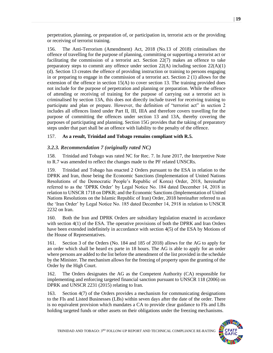perpetration, planning, or preparation of, or participation in, terrorist acts or the providing or receiving of terrorist training.

156. The Anti-Terrorism (Amendment) Act, 2018 (No.13 of 2018) criminalises the offence of travelling for the purpose of planning, committing or supporting a terrorist act or facilitating the commission of a terrorist act. Section 22(7) makes an offence to take preparatory steps to commit any offence under section  $22(A)$  including section  $22(A)(1)$ (d). Section 13 creates the offence of providing instruction or training to persons engaging in or preparing to engage in the commission of a terrorist act. Section 2 (1) allows for the extension of the offence in section 15(A) to cover section 13. The training provided does not include for the purpose of perpetration and planning or preparation. While the offence of attending or receiving of training for the purpose of carrying out a terrorist act is criminalised by section 13A, this does not directly include travel for receiving training to participate and plan or prepare. However, the definition of "terrorist act" in section 2 includes all offences listed under Part II, III, IIIA and therefore covers travelling for the purpose of committing the offences under section 13 and 13A, thereby covering the purposes of participating and planning. Section 15G provides that the taking of preparatory steps under that part shall be an offence with liability to the penalty of the offence.

## 157. **As a result, Trinidad and Tobago remains compliant with R.5.**

## *3.2.3. Recommendation 7 (originally rated NC)*

158. Trinidad and Tobago was rated NC for Rec. 7. In June 2017, the Interpretive Note to R.7 was amended to reflect the changes made to the PF related UNSCRs.

159. Trinidad and Tobago has enacted 2 Orders pursuant to the ESA in relation to the DPRK and Iran, those being the Economic Sanctions (Implementation of United Nations Resolutions of the Democratic People's Republic of Korea) Order, 2018, hereinafter referred to as the 'DPRK Order' by Legal Notice No. 184 dated December 14, 2018 in relation to UNSCR 1718 on DPKR; and the Economic Sanctions (Implementation of United Nations Resolutions on the Islamic Republic of Iran) Order, 2018 hereinafter referred to as the 'Iran Order' by Legal Notice No. 185 dated December 14, 2918 in relation to UNSCR 2232 on Iran.

160. Both the Iran and DPRK Orders are subsidiary legislation enacted in accordance with section 4(1) of the ESA. The operative provisions of both the DPRK and Iran Orders have been extended indefinitely in accordance with section 4(5) of the ESA by Motions of the House of Representatives.

161. Section 3 of the Orders (No. 184 and 185 of 2018) allows for the AG to apply for an order which shall be heard ex parte in 18 hours. The AG is able to apply for an order where persons are added to the list before the amendment of the list provided in the schedule by the Minister. The mechanism allows for the freezing of property upon the granting of the Order by the High Court.

162. The Orders designates the AG as the Competent Authority (CA) responsible for implementing and enforcing targeted financial sanction pursuant to UNSCR 118 (2006) on DPRK and UNSCR 2231 (2015) relating to Iran.

163. Section 4(7) of the Orders provides a mechanism for communicating designations to the FIs and Listed Businesses (LBs) within seven days after the date of the order. There is no equivalent provision which mandates a CA to provide clear guidance to FIs and LBs holding targeted funds or other assets on their obligations under the freezing mechanisms.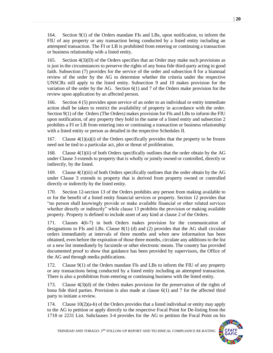164. Section 9(1) of the Orders mandate FIs and LBs, upon notification, to inform the FIU of any property or any transaction being conducted by a listed entity including an attempted transaction. The FI or LB is prohibited from entering or continuing a transaction or business relationship with a listed entity.

165. Section 4(3)(D) of the Orders specifies that an Order may make such provisions as is just in the circumstances to preserve the rights of any bona fide third-party acting in good faith. Subsection (7) provides for the service of the order and subsection 8 for a biannual review of the order by the AG to determine whether the criteria under the respective UNSCRs still apply to the listed entity. Subsection 9 and 10 makes provision for the variation of the order by the AG. Section 6(1) and 7 of the Orders make provision for the review upon application by an affected person.

166. Section 4 (5) provides upon service of an order to an individual or entity immediate action shall be taken to restrict the availability of property in accordance with the order. Section 9(1) of the Orders (The Orders) makes provision for FIs and LBs to inform the FIU upon notification, of any property they hold in the name of a listed entity and subsection 2 prohibits a FI or LB from entering into or continuing a transaction or business relationship with a listed entity or person as detailed in the respective Schedules II.

167. Clause  $4(1)(a)(i)$  of the Orders specifically provides that the property to be frozen need not be tied to a particular act, plot or threat of proliferation.

168. Clause 4(1)(ii) of both Orders specifically outlines that the order obtain by the AG under Clause 3 extends to property that is wholly or jointly owned or controlled, directly or indirectly, by the listed.

169. Clause 4(1)(iii) of both Orders specifically outlines that the order obtain by the AG under Clause 3 extends to property that is derived from property owned or controlled directly or indirectly by the listed entity.

170. Section 12-section 13 of the Orders prohibits any person from making available to or for the benefit of a listed entity financial services or property. Section 12 provides that "no person shall knowingly provide or make available financial or other related services whether directly or indirectly" while clause 13 prohibits the provision or making available property. Property is defined to include asset of any kind at clause 2 of the Orders.

171. Clauses 4(6-7) in both Orders makes provision for the communication of designations to FIs and LBs. Clause  $8(1)$  (d) and (2) provides that the AG shall circulate orders immediately at intervals of three months and when new information has been obtained, even before the expiration of those three months, circulate any additions to the list or a new list immediately by facsimile or other electronic means. The country has provided documented proof to show that guidance has been provided by supervisors, the Office of the AG and through media publications.

172. Clause 9(1) of the Orders mandate FIs and LBs to inform the FIU of any property or any transactions being conducted by a listed entity including an attempted transaction. There is also a prohibition from entering or continuing business with the listed entity.

173. Clause 4(3)(d) of the Orders makes provision for the preservation of the rights of bona fide third parties. Provision is also made at clause 6(1) and 7 for the affected third party to initiate a review.

174. Clause  $10(2)(a-b)$  of the Orders provides that a listed individual or entity may apply to the AG to petition or apply directly to the respective Focal Point for De-listing from the 1718 or 2231 List. Subclauses 3-4 provides for the AG to petition the Focal Point on his

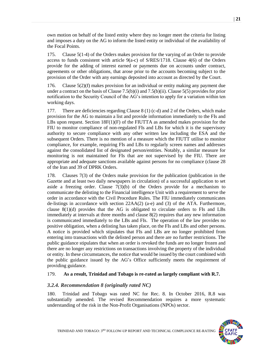own motion on behalf of the listed entity where they no longer meet the criteria for listing and imposes a duty on the AG to inform the listed entity or individual of the availability of the Focal Points.

175. Clause 5(1-4) of the Orders makes provision for the varying of an Order to provide access to funds consistent with article 9(a-c) of S/RES/1718. Clause 4(6) of the Orders provide for the adding of interest earned or payments due on accounts under contract, agreements or other obligations, that arose prior to the accounts becoming subject to the provision of the Order with any earnings deposited into account as directed by the Court.

176. Clause 5(2)(f) makes provision for an individual or entity making any payment due under a contract on the basis of Clause  $7.5(b)(i)$  and  $7.5(b)(ii)$ . Clause  $5(5)$  provides for prior notification to the Security Council of the AG's intention to apply for a variation within ten working days.

177. There are deficiencies regarding Clause 8 (1) (c-d) and 2 of the Orders, which make provision for the AG to maintain a list and provide information immediately to the FIs and LBs upon request. Section 18F(1)(F) of the FIUTTA as amended makes provision for the FIU to monitor compliance of non-regulated FIs and LBs for which it is the supervisory authority to secure compliance with any other written law including the ESA and the subsequent Orders. There is no mention of a measure which the FIUTT utilise to monitor compliance, for example, requiring FIs and LBs to regularly screen names and addresses against the consolidated list of designated person/entities. Notably, a similar measure for monitoring is not maintained for FIs that are not supervised by the FIU. There are appropriate and adequate sanctions available against persons for no compliance (clause 28 of the Iran and 39 of DPRK Orders.

178. Clauses 7(3) of the Orders make provision for the publication (publication in the Gazette and at least two daily newspapers in circulation) of a successful application to set aside a freezing order. Clause  $7(3)(b)$  of the Orders provide for a mechanism to communicate the delisting to the Financial intelligence Unit with a requirement to serve the order in accordance with the Civil Procedure Rules. The FIU immediately communicates de-listings in accordance with section 22AA(2) (a-e) and (3) of the ATA. Furthermore, clause  $8(1)(d)$  provides that the AG is obligated to circulate orders to FIs and LBs immediately at intervals at three months and clause 8(2) requires that any new information is communicated immediately to the LBs and FIs. The operation of the law provides no positive obligation, when a delisting has taken place, on the FIs and LBs and other persons. A notice is provided which stipulates that FIs and LBs are no longer prohibited from entering into transactions with the delisted person and there are no further restrictions. The public guidance stipulates that when an order is revoked the funds are no longer frozen and there are no longer any restrictions on transactions involving the property of the individual or entity. In these circumstances, the notice that would be issued by the court combined with the public guidance issued by the AG's Office sufficiently meets the requirement of providing guidance.

#### 179. **As a result, Trinidad and Tobago is re-rated as largely compliant with R.7.**

## *3.2.4. Recommendation 8 (originally rated NC)*

180. Trinidad and Tobago was rated NC for Rec. 8. In October 2016, R.8 was substantially amended. The revised Recommendation requires a more systematic understanding of the risk in the Non-Profit Organisations (NPOs) sector.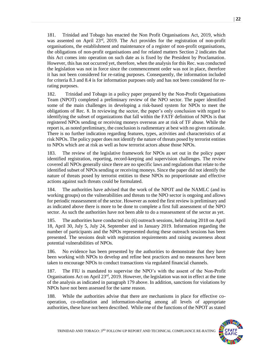181. Trinidad and Tobago has enacted the Non Profit Organisations Act, 2019, which was assented on April 23<sup>rd</sup>, 2019. The Act provides for the registration of non-profit organisations, the establishment and maintenance of a register of non-profit organisations, the obligations of non-profit organisations and for related matters Section 2 indicates that this Act comes into operation on such date as is fixed by the President by Proclamation. However, this has not occurred yet, therefore, when the analysis for this Rec. was conducted the legislation was not in force since the commencement order was not in place, therefore it has not been considered for re-rating purposes. Consequently, the information included for criteria 8.3 and 8.4 is for information purposes only and has not been considered for rerating purposes.

182. Trinidad and Tobago in a policy paper prepared by the Non-Profit Organisations Team (NPOT) completed a preliminary review of the NPO sector. The paper identified some of the main challenges in developing a risk-based system for NPOs to meet the obligations of Rec. 8. In reviewing the sector, the paper's only conclusion with regard to identifying the subset of organizations that fall within the FATF definition of NPOs is that registered NPOs sending or receiving moneys overseas are at risk of TF abuse. While the report is, as noted preliminary, the conclusion is rudimentary at best with no given rationale. There is no further indication regarding features, types, activities and characteristics of at risk NPOs. The policy paper does not identify the nature of threats posed by terrorist entities to NPOs which are at risk as well as how terrorist actors abuse those NPOs.

183. The review of the legislative framework for NPOs as set out in the policy paper identified registration, reporting, record-keeping and supervision challenges. The review covered all NPOs generally since there are no specific laws and regulations that relate to the identified subset of NPOs sending or receiving moneys. Since the paper did not identify the nature of threats posed by terrorist entities to these NPOs no proportionate and effective actions against such threats could be formulated.

184. The authorities have advised that the work of the NPOT and the NAMLC (and its working groups) on the vulnerabilities and threats to the NPO sector is ongoing and allows for periodic reassessment of the sector. However as noted the first review is preliminary and as indicated above there is more to be done to complete a first full assessment of the NPO sector. As such the authorities have not been able to do a reassessment of the sector as yet.

185. The authorities have conducted six (6) outreach sessions, held during 2018 on April 18, April 30, July 5, July 24, September and in January 2019. Information regarding the number of participants and the NPOs represented during these outreach sessions has been presented. The sessions dealt with registration requirements and raising awareness about potential vulnerabilities of NPOs.

186. No evidence has been presented by the authorities to demonstrate that they have been working with NPOs to develop and refine best practices and no measures have been taken to encourage NPOs to conduct transactions via regulated financial channels.

187. The FIU is mandated to supervise the NPO's with the assent of the Non-Profit Organisations Act on April 23rd, 2019. However, the legislation was not in effect at the time of the analysis as indicated in paragraph 179 above. In addition, sanctions for violations by NPOs have not been assessed for the same reason.

188. While the authorities advise that there are mechanisms in place for effective cooperation, co-ordination and information-sharing among all levels of appropriate authorities, these have not been described. While one of the functions of the NPOT as stated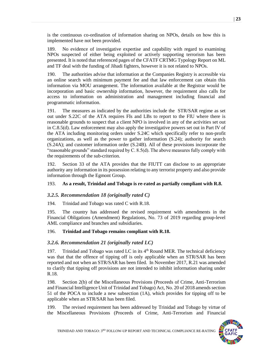is the continuous co-ordination of information sharing on NPOs, details on how this is implemented have not been provided.

189. No evidence of investigative expertise and capability with regard to examining NPOs suspected of either being exploited or actively supporting terrorism has been presented. It is noted that referenced pages of the CFATF CRTMG Typology Report on ML and TF deal with the funding of Jihadi fighters, however it is not related to NPOs.

190. The authorities advise that information at the Companies Registry is accessible via an online search with minimum payment fee and that law enforcement can obtain this information via MOU arrangement. The information available at the Registrar would be incorporation and basic ownership information, however, the requirement also calls for access to information on administration and management including financial and programmatic information.

191. The measures as indicated by the authorities include the STR/SAR regime as set out under S.22C of the ATA requires FIs and LBs to report to the FIU where there is reasonable grounds to suspect that a client NPO is involved in any of the activities set out in C.8.5(d). Law enforcement may also apply the investigative powers set out in Part IV of the ATA including monitoring orders under S.24C which specifically refer to non-profit organizations, as well as the power to gather information (S.24); authority for search (S.24A); and customer information order (S.24B). All of these provisions incorporate the "reasonable grounds" standard required by C. 8.5(d). The above measures fully comply with the requirements of the sub-criterion.

192. Section 33 of the ATA provides that the FIUTT can disclose to an appropriate authority any information in its possession relating to any terrorist property and also provide information through the Egmont Group.

## 193. **As a result, Trinidad and Tobago is re-rated as partially compliant with R.8.**

## *3.2.5. Recommendation 18 (originally rated C)*

194. Trinidad and Tobago was rated C with R.18.

195. The country has addressed the revised requirement with amendments in the Financial Obligations (Amendment) Regulations, No. 73 of 2019 regarding group-level AML compliance and branches and subsidiaries.

#### 196. **Trinidad and Tobago remains compliant with R.18.**

## *3.2.6. Recommendation 21 (originally rated LC)*

197. Trinidad and Tobago was rated LC in its  $4<sup>th</sup>$  Round MER. The technical deficiency was that that the offence of tipping off is only applicable when an STR/SAR has been reported and not when an STR/SAR has been filed. In November 2017, R.21 was amended to clarify that tipping off provisions are not intended to inhibit information sharing under R.18.

198. Section 2(b) of the Miscellaneous Provisions (Proceeds of Crime, Anti-Terrorism and Financial Intelligence Unit of Trinidad and Tobago) Act, No. 20 of 2018 amends section 51 of the POCA to include a new subsection (1A), which provides for tipping off to be applicable when an STR/SAR has been filed.

199. The revised requirement has been addressed by Trinidad and Tobago by virtue of the Miscellaneous Provisions (Proceeds of Crime, Anti-Terrorism and Financial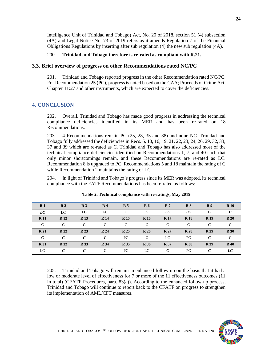Intelligence Unit of Trinidad and Tobago) Act, No. 20 of 2018, section 51 (4) subsection (4A) and Legal Notice No. 73 of 2019 refers as it amends Regulation 7 of the Financial Obligations Regulations by inserting after sub regulation (4) the new sub regulation (4A).

#### 200. **Trinidad and Tobago therefore is re-rated as compliant with R.21.**

#### **3.3. Brief overview of progress on other Recommendations rated NC/PC**

201. Trinidad and Tobago reported progress in the other Recommendation rated NC/PC. For Recommendation 25 (PC), progress is noted based on the CAA; Proceeds of Crime Act, Chapter 11:27 and other instruments, which are expected to cover the deficiencies.

## **4. CONCLUSION**

202. Overall, Trinidad and Tobago has made good progress in addressing the technical compliance deficiencies identified in its MER and has been re-rated on 18 Recommendations.

203. 4 Recommendations remain PC (25, 28, 35 and 38) and none NC. Trinidad and Tobago fully addressed the deficiencies in Recs. 6, 10, 16, 19, 21, 22, 23, 24, 26, 29, 32, 33, 37 and 39 which are re-rated as C. Trinidad and Tobago has also addressed most of the technical compliance deficiencies identified on Recommendations 1, 7, and 40 such that only minor shortcomings remain, and these Recommendations are re-rated as LC. Recommendation 8 is upgraded to PC, Recommendations 5 and 18 maintain the rating of C while Recommendation 2 maintains the rating of LC.

204. In light of Trinidad and Tobago's progress since its MER was adopted, its technical compliance with the FATF Recommendations has been re-rated as follows:

| $\mathbf{R}1$   | $\mathbb{R}^2$  | $\mathbb{R}^3$ | R <sub>4</sub> | R <sub>5</sub> | R <sub>6</sub> | $\bf R 7$     | $\mathbb{R}8$ | R <sub>9</sub> | $\mathbf{R}$ 10 |
|-----------------|-----------------|----------------|----------------|----------------|----------------|---------------|---------------|----------------|-----------------|
| $_{LC}$         | LC              | LC.            | LC             | C              | $\mathcal{C}$  | $_{LC}$       | $_{PC}$       | C              | $\epsilon$      |
| <b>R</b> 11     | R <sub>12</sub> | <b>R</b> 13    | <b>R</b> 14    | <b>R</b> 15    | <b>R</b> 16    | <b>R</b> 17   | <b>R</b> 18   | <b>R</b> 19    | R <sub>20</sub> |
| C               | $\mathcal{C}$   | C              | C              | C              | C              | C             | C             | $\epsilon$     | $\Gamma$        |
| R <sub>21</sub> | R 22            | R 23           | R 24           | R 25           | R 26           | <b>R</b> 27   | <b>R</b> 28   | R 29           | $R_{30}$        |
| $\mathcal{C}$   | $\mathcal{C}$   | $\mathcal{C}$  | $\mathcal{C}$  | PC.            | $\mathcal{C}$  | LC            | PC            | $\mathcal{C}$  | $\mathcal{C}$   |
| <b>R</b> 31     | <b>R</b> 32     | <b>R</b> 33    | <b>R</b> 34    | <b>R</b> 35    | <b>R</b> 36    | <b>R</b> 37   | <b>R</b> 38   | <b>R</b> 39    | $\mathbf{R}$ 40 |
| LC              | $\epsilon$      | $\mathcal{C}$  | C              | PC.            | LC             | $\mathcal{C}$ | PC            | $\mathcal{C}$  | $_{LC}$         |

#### **Table 2. Technical compliance with re-ratings, May 2019**

205. Trinidad and Tobago will remain in enhanced follow-up on the basis that it had a low or moderate level of effectiveness for 7 or more of the 11 effectiveness outcomes (11 in total) (CFATF Procedures, para. 83(a)). According to the enhanced follow-up process, Trinidad and Tobago will continue to report back to the CFATF on progress to strengthen its implementation of AML/CFT measures.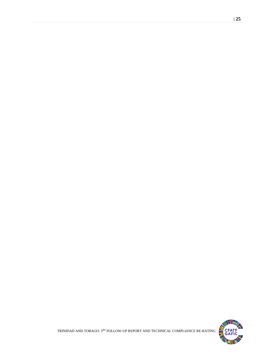